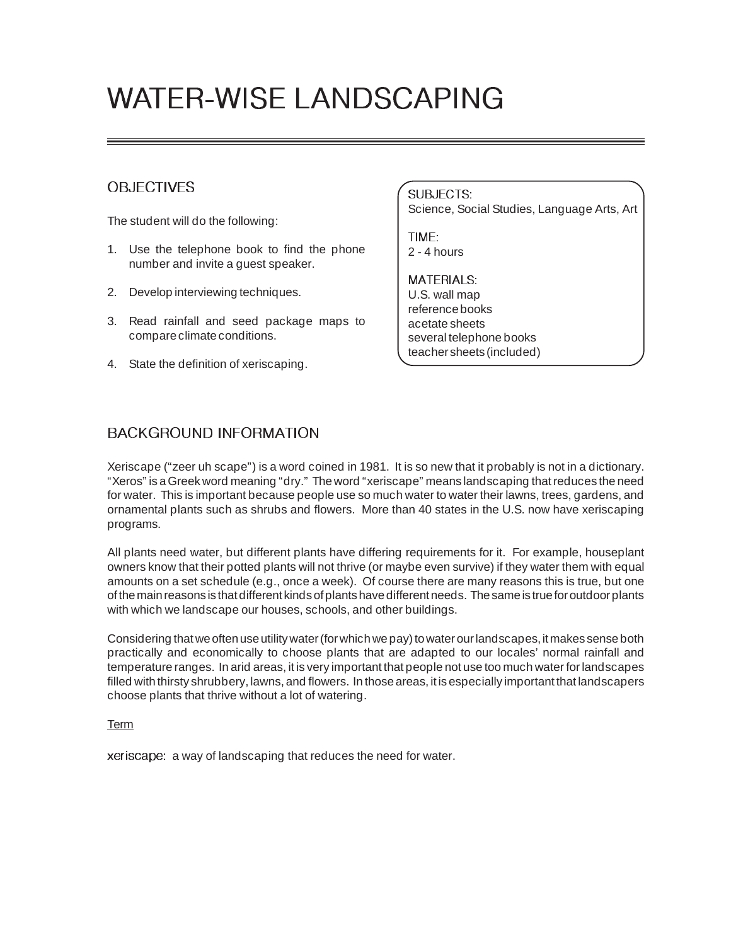# WATER-WISE LANDSCAPING

# OBJECTIVES

The student will do the following:

- 1. Use the telephone book to find the phone number and invite a guest speaker.
- 2. Develop interviewing techniques.
- 3. Read rainfall and seed package maps to compare climate conditions.
- 4. State the definition of xeriscaping.

SUBJECTS: Science, Social Studies, Language Arts, Art

TIME: 2 - 4 hours

MATERIALS: U.S. wall map reference books acetate sheets several telephone books teacher sheets (included)

# BACKGROUND INFORMATION

Xeriscape ("zeer uh scape") is a word coined in 1981. It is so new that it probably is not in a dictionary. "Xeros" is a Greek word meaning "dry." The word "xeriscape" means landscaping that reduces the need for water. This is important because people use so much water to water their lawns, trees, gardens, and ornamental plants such as shrubs and flowers. More than 40 states in the U.S. now have xeriscaping programs.

All plants need water, but different plants have differing requirements for it. For example, houseplant owners know that their potted plants will not thrive (or maybe even survive) if they water them with equal amounts on a set schedule (e.g., once a week). Of course there are many reasons this is true, but one of the main reasons is that different kinds of plants have different needs. The same is true for outdoor plants with which we landscape our houses, schools, and other buildings.

Considering that we often use utility water (for which we pay) to water our landscapes, it makes sense both practically and economically to choose plants that are adapted to our locales' normal rainfall and temperature ranges. In arid areas, it is very important that people not use too much water for landscapes filled with thirsty shrubbery, lawns, and flowers. In those areas, it is especially important that landscapers choose plants that thrive without a lot of watering.

Term

xeriscape: a way of landscaping that reduces the need for water.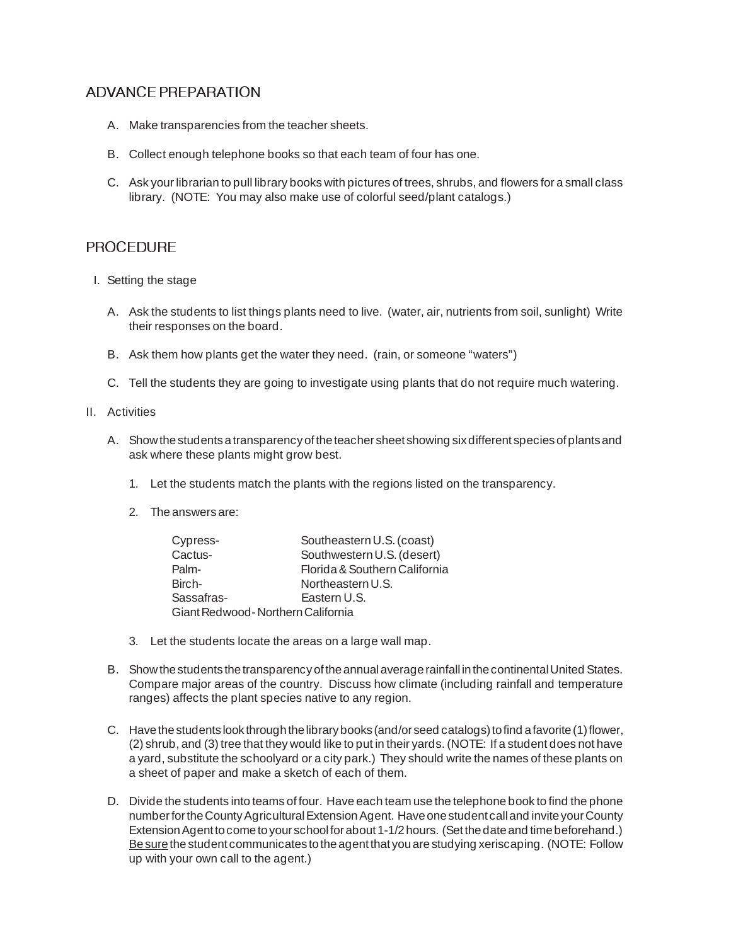### ADVANCE PREPARATION

- A. Make transparencies from the teacher sheets.
- B. Collect enough telephone books so that each team of four has one.
- C. Ask your librarian to pull library books with pictures of trees, shrubs, and flowers for a small class library. (NOTE: You may also make use of colorful seed/plant catalogs.)

#### PROCEDURE

- I. Setting the stage
	- A. Ask the students to list things plants need to live. (water, air, nutrients from soil, sunlight) Write their responses on the board.
	- B. Ask them how plants get the water they need. (rain, or someone "waters")
	- C. Tell the students they are going to investigate using plants that do not require much watering.
- II. Activities
	- A. Show the students a transparency of the teacher sheet showing six different species of plants and ask where these plants might grow best.
		- 1. Let the students match the plants with the regions listed on the transparency.
		- 2. The answers are:

| Cypress-                          | Southeastern U.S. (coast)     |
|-----------------------------------|-------------------------------|
| Cactus-                           | Southwestern U.S. (desert)    |
| Palm-                             | Florida & Southern California |
| Birch-                            | Northeastern U.S.             |
| Sassafras-                        | Eastern U.S.                  |
| Giant Redwood-Northern California |                               |

- 3. Let the students locate the areas on a large wall map.
- B. Show the students the transparency of the annual average rainfall in the continental United States. Compare major areas of the country. Discuss how climate (including rainfall and temperature ranges) affects the plant species native to any region.
- C. Have the students look through the library books (and/or seed catalogs) to find a favorite (1) flower, (2) shrub, and (3) tree that they would like to put in their yards. (NOTE: If a student does not have a yard, substitute the schoolyard or a city park.) They should write the names of these plants on a sheet of paper and make a sketch of each of them.
- D. Divide the students into teams of four. Have each team use the telephone book to find the phone number for the County Agricultural Extension Agent. Have one student call and invite your County Extension Agent to come to your school for about 1-1/2 hours. (Set the date and time beforehand.) Be sure the student communicates to the agent that you are studying xeriscaping. (NOTE: Follow up with your own call to the agent.)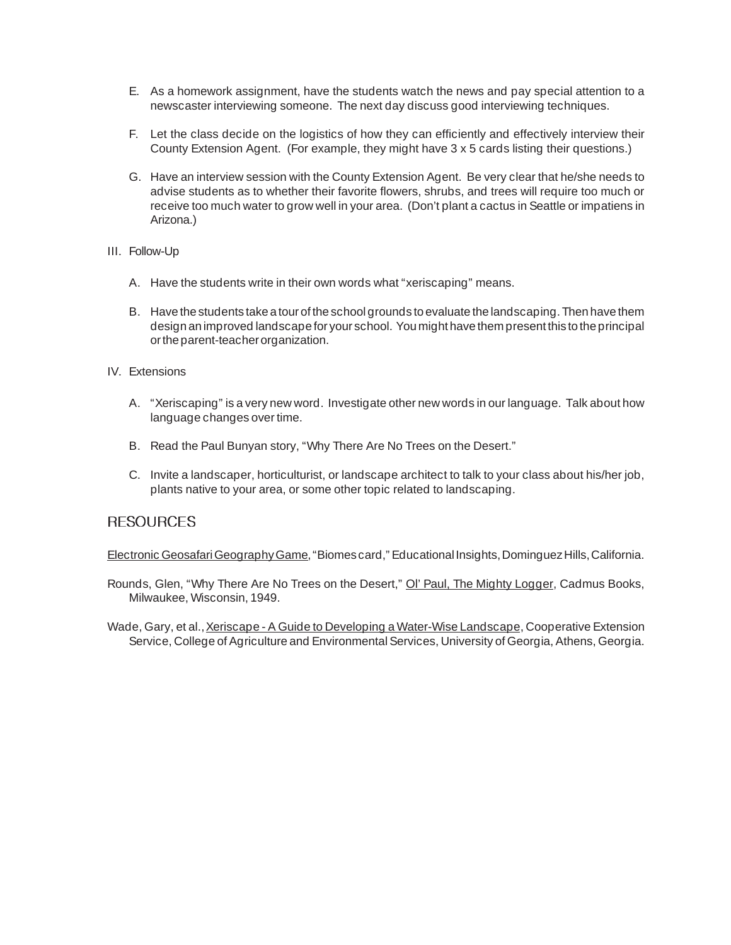- E. As a homework assignment, have the students watch the news and pay special attention to a newscaster interviewing someone. The next day discuss good interviewing techniques.
- F. Let the class decide on the logistics of how they can efficiently and effectively interview their County Extension Agent. (For example, they might have 3 x 5 cards listing their questions.)
- G. Have an interview session with the County Extension Agent. Be very clear that he/she needs to advise students as to whether their favorite flowers, shrubs, and trees will require too much or receive too much water to grow well in your area. (Don't plant a cactus in Seattle or impatiens in Arizona.)
- III. Follow-Up
	- A. Have the students write in their own words what "xeriscaping" means.
	- B. Have the students take a tour of the school grounds to evaluate the landscaping. Then have them design an improved landscape for your school. You might have them present this to the principal or the parent-teacher organization.
- IV. Extensions
	- A. "Xeriscaping" is a very new word. Investigate other new words in our language. Talk about how language changes over time.
	- B. Read the Paul Bunyan story, "Why There Are No Trees on the Desert."
	- C. Invite a landscaper, horticulturist, or landscape architect to talk to your class about his/her job, plants native to your area, or some other topic related to landscaping.

#### **RESOURCES**

Electronic Geosafari Geography Game, "Biomes card," Educational Insights, Dominguez Hills, California.

Rounds, Glen, "Why There Are No Trees on the Desert," Ol' Paul, The Mighty Logger, Cadmus Books, Milwaukee, Wisconsin, 1949.

Wade, Gary, et al., Xeriscape - A Guide to Developing a Water-Wise Landscape, Cooperative Extension Service, College of Agriculture and Environmental Services, University of Georgia, Athens, Georgia.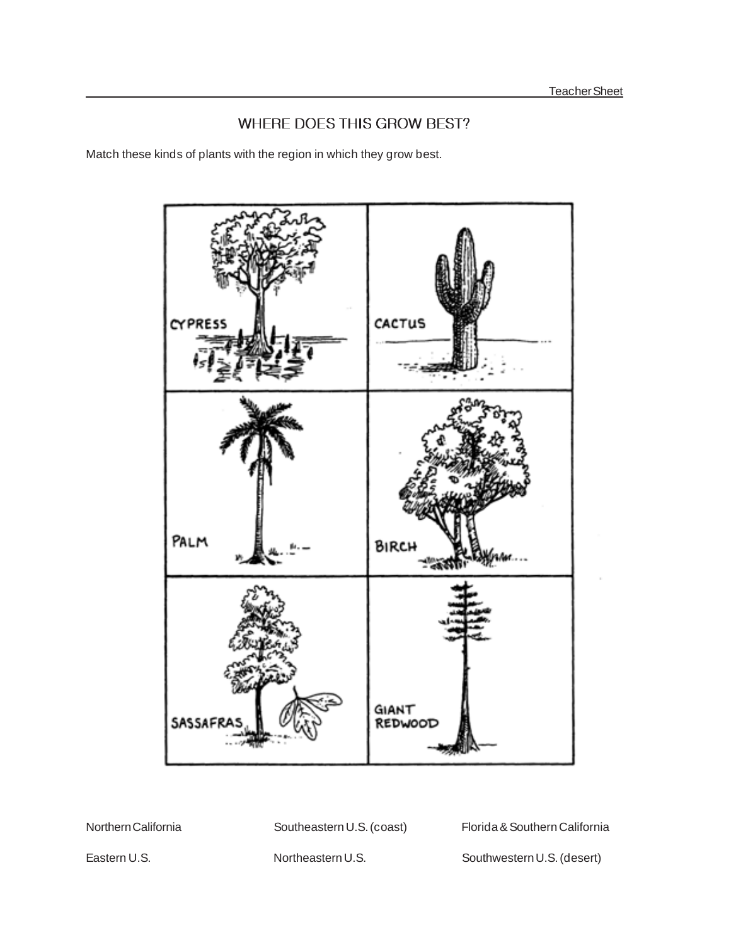# WHERE DOES THIS GROW BEST?

Match these kinds of plants with the region in which they grow best.



Northern California **Southeastern U.S. (coast)** Florida & Southern California

Eastern U.S. Northeastern U.S. Southwestern U.S. (desert)